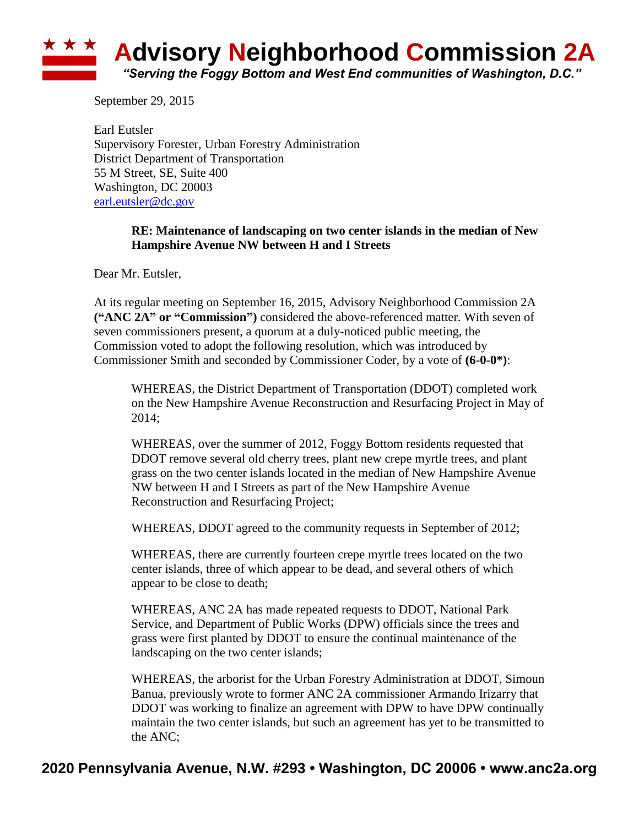## ★ ★ ★ **Advisory Neighborhood Commission 2A** *"Serving the Foggy Bottom and West End communities of Washington, D.C."*

September 29, 2015

Earl Eutsler Supervisory Forester, Urban Forestry Administration District Department of Transportation 55 M Street, SE, Suite 400 Washington, DC 20003 [earl.eutsler@dc.gov](mailto:earl.eutsler@dc.gov)

## **RE: Maintenance of landscaping on two center islands in the median of New Hampshire Avenue NW between H and I Streets**

Dear Mr. Eutsler,

At its regular meeting on September 16, 2015, Advisory Neighborhood Commission 2A **("ANC 2A" or "Commission")** considered the above-referenced matter. With seven of seven commissioners present, a quorum at a duly-noticed public meeting, the Commission voted to adopt the following resolution, which was introduced by Commissioner Smith and seconded by Commissioner Coder, by a vote of **(6-0-0\*)**:

WHEREAS, the District Department of Transportation (DDOT) completed work on the New Hampshire Avenue Reconstruction and Resurfacing Project in May of 2014;

WHEREAS, over the summer of 2012, Foggy Bottom residents requested that DDOT remove several old cherry trees, plant new crepe myrtle trees, and plant grass on the two center islands located in the median of New Hampshire Avenue NW between H and I Streets as part of the New Hampshire Avenue Reconstruction and Resurfacing Project;

WHEREAS, DDOT agreed to the community requests in September of 2012;

WHEREAS, there are currently fourteen crepe myrtle trees located on the two center islands, three of which appear to be dead, and several others of which appear to be close to death;

WHEREAS, ANC 2A has made repeated requests to DDOT, National Park Service, and Department of Public Works (DPW) officials since the trees and grass were first planted by DDOT to ensure the continual maintenance of the landscaping on the two center islands;

WHEREAS, the arborist for the Urban Forestry Administration at DDOT, Simoun Banua, previously wrote to former ANC 2A commissioner Armando Irizarry that DDOT was working to finalize an agreement with DPW to have DPW continually maintain the two center islands, but such an agreement has yet to be transmitted to the ANC;

## **2020 Pennsylvania Avenue, N.W. #293 • Washington, DC 20006 • www.anc2a.org**